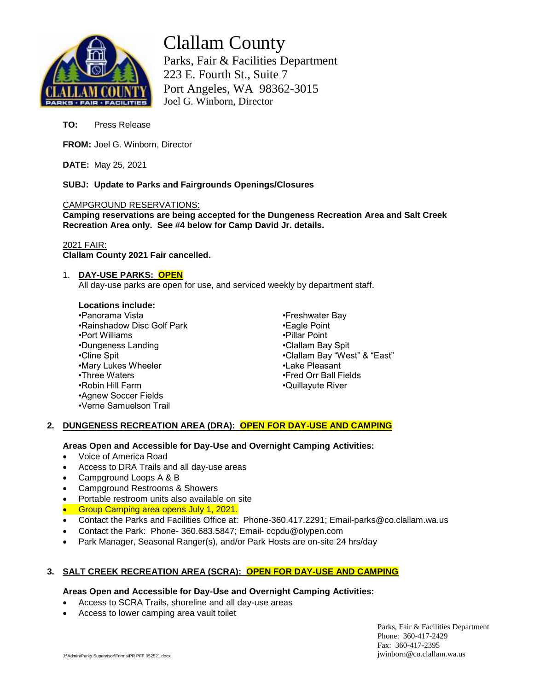

# Clallam County Parks, Fair & Facilities Department 223 E. Fourth St., Suite 7 Port Angeles, WA 98362-3015 Joel G. Winborn, Director

**TO:** Press Release

**FROM:** Joel G. Winborn, Director

**DATE:** May 25, 2021

**SUBJ: Update to Parks and Fairgrounds Openings/Closures**

#### CAMPGROUND RESERVATIONS:

**Camping reservations are being accepted for the Dungeness Recreation Area and Salt Creek Recreation Area only. See #4 below for Camp David Jr. details.**

## 2021 FAIR:

**Clallam County 2021 Fair cancelled.**

## 1. **DAY-USE PARKS: OPEN**

All day-use parks are open for use, and serviced weekly by department staff.

## **Locations include:**

•Panorama Vista •Rainshadow Disc Golf Park •Port Williams •Dungeness Landing •Cline Spit •Mary Lukes Wheeler •Three Waters •Robin Hill Farm •Agnew Soccer Fields •Verne Samuelson Trail

•Freshwater Bay •Eagle Point •Pillar Point •Clallam Bay Spit •Clallam Bay "West" & "East" •Lake Pleasant •Fred Orr Ball Fields •Quillayute River

## **2. DUNGENESS RECREATION AREA (DRA): OPEN FOR DAY-USE AND CAMPING**

## **Areas Open and Accessible for Day-Use and Overnight Camping Activities:**

- Voice of America Road
- Access to DRA Trails and all day-use areas
- Campground Loops A & B
- Campground Restrooms & Showers
- Portable restroom units also available on site
- **Group Camping area opens July 1, 2021.**
- Contact the Parks and Facilities Office at: Phone-360.417.2291; Email-parks@co.clallam.wa.us
- Contact the Park: Phone- 360.683.5847; Email- ccpdu@olypen.com
- Park Manager, Seasonal Ranger(s), and/or Park Hosts are on-site 24 hrs/day

# **3. SALT CREEK RECREATION AREA (SCRA): OPEN FOR DAY-USE AND CAMPING**

#### **Areas Open and Accessible for Day-Use and Overnight Camping Activities:**

- Access to SCRA Trails, shoreline and all day-use areas
- Access to lower camping area vault toilet